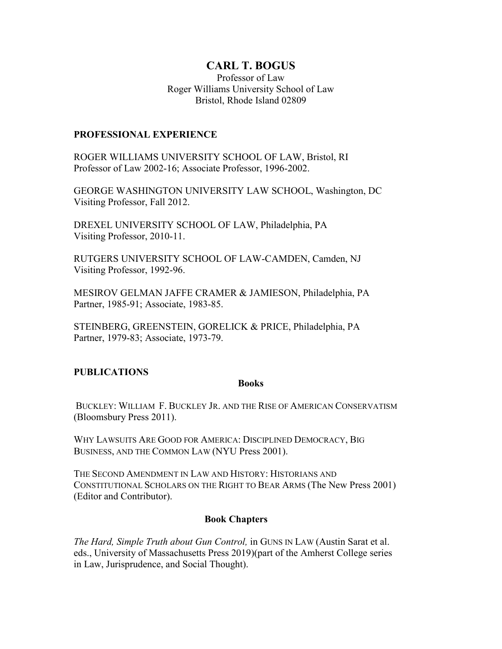# **CARL T. BOGUS**

Professor of Law Roger Williams University School of Law Bristol, Rhode Island 02809

#### **PROFESSIONAL EXPERIENCE**

ROGER WILLIAMS UNIVERSITY SCHOOL OF LAW, Bristol, RI Professor of Law 2002-16; Associate Professor, 1996-2002.

GEORGE WASHINGTON UNIVERSITY LAW SCHOOL, Washington, DC Visiting Professor, Fall 2012.

DREXEL UNIVERSITY SCHOOL OF LAW, Philadelphia, PA Visiting Professor, 2010-11.

RUTGERS UNIVERSITY SCHOOL OF LAW-CAMDEN, Camden, NJ Visiting Professor, 1992-96.

MESIROV GELMAN JAFFE CRAMER & JAMIESON, Philadelphia, PA Partner, 1985-91; Associate, 1983-85.

STEINBERG, GREENSTEIN, GORELICK & PRICE, Philadelphia, PA Partner, 1979-83; Associate, 1973-79.

## **PUBLICATIONS**

#### **Books**

BUCKLEY: WILLIAM F. BUCKLEY JR. AND THE RISE OF AMERICAN CONSERVATISM (Bloomsbury Press 2011).

WHY LAWSUITS ARE GOOD FOR AMERICA: DISCIPLINED DEMOCRACY, BIG BUSINESS, AND THE COMMON LAW (NYU Press 2001).

THE SECOND AMENDMENT IN LAW AND HISTORY: HISTORIANS AND CONSTITUTIONAL SCHOLARS ON THE RIGHT TO BEAR ARMS (The New Press 2001) (Editor and Contributor).

## **Book Chapters**

*The Hard, Simple Truth about Gun Control,* in GUNS IN LAW (Austin Sarat et al. eds., University of Massachusetts Press 2019)(part of the Amherst College series in Law, Jurisprudence, and Social Thought).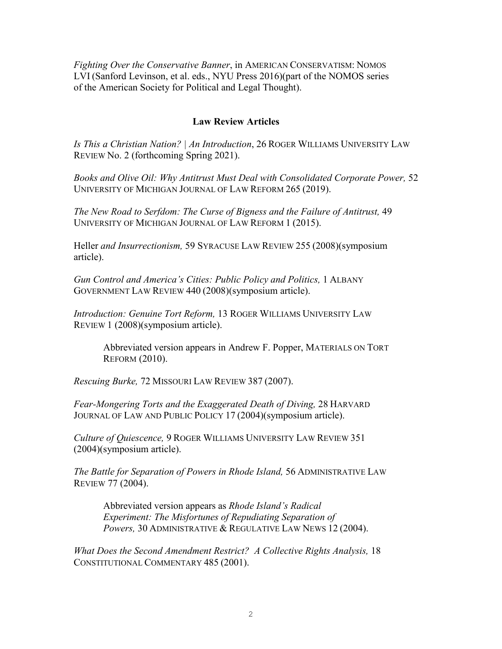*Fighting Over the Conservative Banner*, in AMERICAN CONSERVATISM: NOMOS LVI (Sanford Levinson, et al. eds., NYU Press 2016)(part of the NOMOS series of the American Society for Political and Legal Thought).

## **Law Review Articles**

*Is This a Christian Nation? | An Introduction*, 26 ROGER WILLIAMS UNIVERSITY LAW REVIEW No. 2 (forthcoming Spring 2021).

*Books and Olive Oil: Why Antitrust Must Deal with Consolidated Corporate Power,* 52 UNIVERSITY OF MICHIGAN JOURNAL OF LAW REFORM 265 (2019).

*The New Road to Serfdom: The Curse of Bigness and the Failure of Antitrust,* 49 UNIVERSITY OF MICHIGAN JOURNAL OF LAW REFORM 1 (2015).

Heller *and Insurrectionism,* 59 SYRACUSE LAW REVIEW 255 (2008)(symposium article).

*Gun Control and America's Cities: Public Policy and Politics,* 1 ALBANY GOVERNMENT LAW REVIEW 440 (2008)(symposium article).

*Introduction: Genuine Tort Reform,* 13 ROGER WILLIAMS UNIVERSITY LAW REVIEW 1 (2008)(symposium article).

Abbreviated version appears in Andrew F. Popper, MATERIALS ON TORT REFORM (2010).

*Rescuing Burke,* 72 MISSOURI LAW REVIEW 387 (2007).

*Fear-Mongering Torts and the Exaggerated Death of Diving,* 28 HARVARD JOURNAL OF LAW AND PUBLIC POLICY 17 (2004)(symposium article).

*Culture of Quiescence,* 9 ROGER WILLIAMS UNIVERSITY LAW REVIEW 351 (2004)(symposium article).

*The Battle for Separation of Powers in Rhode Island,* 56 ADMINISTRATIVE LAW REVIEW 77 (2004).

Abbreviated version appears as *Rhode Island's Radical Experiment: The Misfortunes of Repudiating Separation of Powers,* 30 ADMINISTRATIVE & REGULATIVE LAW NEWS 12 (2004).

*What Does the Second Amendment Restrict? A Collective Rights Analysis,* 18 CONSTITUTIONAL COMMENTARY 485 (2001).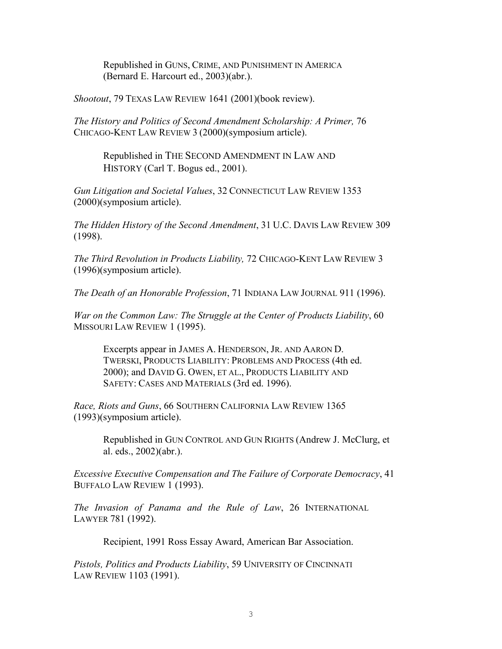Republished in GUNS, CRIME, AND PUNISHMENT IN AMERICA (Bernard E. Harcourt ed., 2003)(abr.).

*Shootout*, 79 TEXAS LAW REVIEW 1641 (2001)(book review).

*The History and Politics of Second Amendment Scholarship: A Primer,* 76 CHICAGO-KENT LAW REVIEW 3 (2000)(symposium article).

Republished in THE SECOND AMENDMENT IN LAW AND HISTORY (Carl T. Bogus ed., 2001).

*Gun Litigation and Societal Values*, 32 CONNECTICUT LAW REVIEW 1353 (2000)(symposium article).

*The Hidden History of the Second Amendment*, 31 U.C. DAVIS LAW REVIEW 309 (1998).

*The Third Revolution in Products Liability,* 72 CHICAGO-KENT LAW REVIEW 3 (1996)(symposium article).

*The Death of an Honorable Profession*, 71 INDIANA LAW JOURNAL 911 (1996).

*War on the Common Law: The Struggle at the Center of Products Liability*, 60 MISSOURI LAW REVIEW 1 (1995).

Excerpts appear in JAMES A. HENDERSON, JR. AND AARON D. TWERSKI, PRODUCTS LIABILITY: PROBLEMS AND PROCESS (4th ed. 2000); and DAVID G. OWEN, ET AL., PRODUCTS LIABILITY AND SAFETY: CASES AND MATERIALS (3rd ed. 1996).

*Race, Riots and Guns*, 66 SOUTHERN CALIFORNIA LAW REVIEW 1365 (1993)(symposium article).

> Republished in GUN CONTROL AND GUN RIGHTS (Andrew J. McClurg, et al. eds., 2002)(abr.).

*Excessive Executive Compensation and The Failure of Corporate Democracy*, 41 BUFFALO LAW REVIEW 1 (1993).

*The Invasion of Panama and the Rule of Law*, 26 INTERNATIONAL LAWYER 781 (1992).

Recipient, 1991 Ross Essay Award, American Bar Association.

*Pistols, Politics and Products Liability*, 59 UNIVERSITY OF CINCINNATI LAW REVIEW 1103 (1991).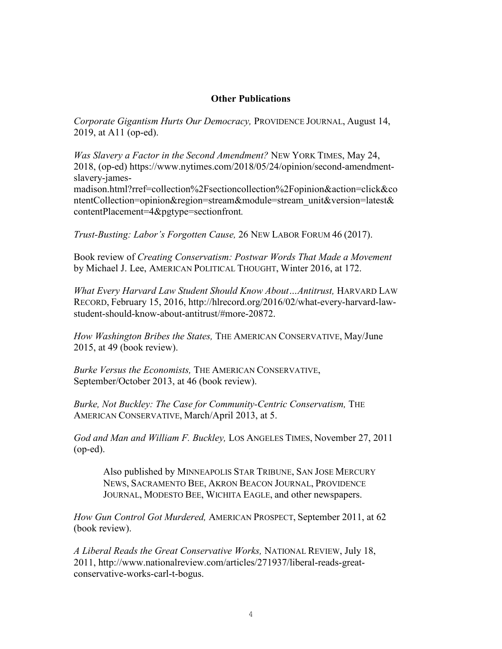#### **Other Publications**

*Corporate Gigantism Hurts Our Democracy,* PROVIDENCE JOURNAL, August 14, 2019, at A11 (op-ed).

*Was Slavery a Factor in the Second Amendment?* NEW YORK TIMES, May 24, 2018, (op-ed) [https://www.nytimes.com/2018/05/24/opinion/second-amendment](https://www.nytimes.com/2018/05/24/opinion/second-amendment-slavery-james-madison.html?rref=collection%2Fsectioncollection%2Fopinion&action=click&contentCollection=opinion®ion=stream&module=stream_unit&version=latest&contentPlacement=4&pgtype=sectionfront)[slavery-james-](https://www.nytimes.com/2018/05/24/opinion/second-amendment-slavery-james-madison.html?rref=collection%2Fsectioncollection%2Fopinion&action=click&contentCollection=opinion®ion=stream&module=stream_unit&version=latest&contentPlacement=4&pgtype=sectionfront)

[madison.html?rref=collection%2Fsectioncollection%2Fopinion&action=click&co](https://www.nytimes.com/2018/05/24/opinion/second-amendment-slavery-james-madison.html?rref=collection%2Fsectioncollection%2Fopinion&action=click&contentCollection=opinion®ion=stream&module=stream_unit&version=latest&contentPlacement=4&pgtype=sectionfront) [ntentCollection=opinion&region=stream&module=stream\\_unit&version=latest&](https://www.nytimes.com/2018/05/24/opinion/second-amendment-slavery-james-madison.html?rref=collection%2Fsectioncollection%2Fopinion&action=click&contentCollection=opinion®ion=stream&module=stream_unit&version=latest&contentPlacement=4&pgtype=sectionfront) [contentPlacement=4&pgtype=sectionfront](https://www.nytimes.com/2018/05/24/opinion/second-amendment-slavery-james-madison.html?rref=collection%2Fsectioncollection%2Fopinion&action=click&contentCollection=opinion®ion=stream&module=stream_unit&version=latest&contentPlacement=4&pgtype=sectionfront)*.*

*Trust-Busting: Labor's Forgotten Cause,* 26 NEW LABOR FORUM 46 (2017).

Book review of *Creating Conservatism: Postwar Words That Made a Movement* by Michael J. Lee, AMERICAN POLITICAL THOUGHT, Winter 2016, at 172.

*What Every Harvard Law Student Should Know About…Antitrust,* HARVARD LAW RECORD, February 15, 2016, [http://hlrecord.org/2016/02/what-every-harvard-law](http://hlrecord.org/2016/02/what-every-harvard-law-student-should-know-about-antitrust/#more-20872)[student-should-know-about-antitrust/#more-20872.](http://hlrecord.org/2016/02/what-every-harvard-law-student-should-know-about-antitrust/#more-20872)

*How Washington Bribes the States,* THE AMERICAN CONSERVATIVE, May/June 2015, at 49 (book review).

*Burke Versus the Economists,* THE AMERICAN CONSERVATIVE, September/October 2013, at 46 (book review).

*Burke, Not Buckley: The Case for Community-Centric Conservatism,* THE AMERICAN CONSERVATIVE, March/April 2013, at 5.

*God and Man and William F. Buckley,* LOS ANGELES TIMES, November 27, 2011 (op-ed).

Also published by MINNEAPOLIS STAR TRIBUNE, SAN JOSE MERCURY NEWS, SACRAMENTO BEE, AKRON BEACON JOURNAL, PROVIDENCE JOURNAL, MODESTO BEE, WICHITA EAGLE, and other newspapers.

*How Gun Control Got Murdered,* AMERICAN PROSPECT, September 2011, at 62 (book review).

*A Liberal Reads the Great Conservative Works,* NATIONAL REVIEW, July 18, 2011, http://www.nationalreview.com/articles/271937/liberal-reads-greatconservative-works-carl-t-bogus.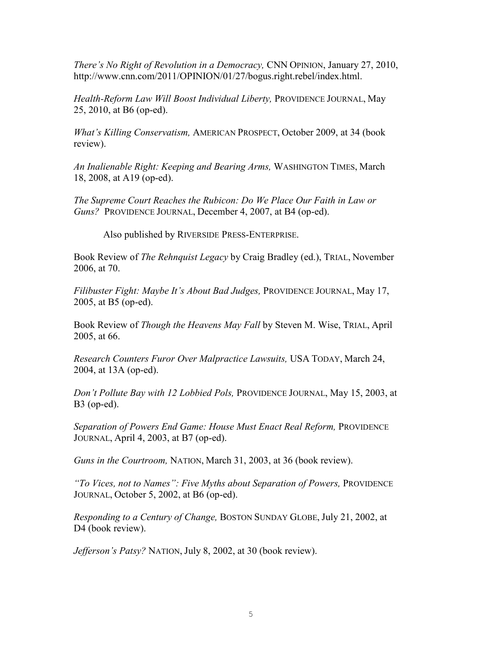*There's No Right of Revolution in a Democracy,* CNN OPINION, January 27, 2010, [http://www.cnn.com/2011/OPINION/01/27/bogus.right.rebel/index.html.](http://www.cnn.com/2011/OPINION/01/27/bogus.right.rebel/index.html)

*Health-Reform Law Will Boost Individual Liberty,* PROVIDENCE JOURNAL, May 25, 2010, at B6 (op-ed).

*What's Killing Conservatism,* AMERICAN PROSPECT, October 2009, at 34 (book review).

*An Inalienable Right: Keeping and Bearing Arms,* WASHINGTON TIMES, March 18, 2008, at A19 (op-ed).

*The Supreme Court Reaches the Rubicon: Do We Place Our Faith in Law or Guns?* PROVIDENCE JOURNAL, December 4, 2007, at B4 (op-ed).

Also published by RIVERSIDE PRESS-ENTERPRISE.

Book Review of *The Rehnquist Legacy* by Craig Bradley (ed.), TRIAL, November 2006, at 70.

*Filibuster Fight: Maybe It's About Bad Judges,* PROVIDENCE JOURNAL, May 17, 2005, at B5 (op-ed).

Book Review of *Though the Heavens May Fall* by Steven M. Wise, TRIAL, April 2005, at 66.

*Research Counters Furor Over Malpractice Lawsuits,* USA TODAY, March 24, 2004, at 13A (op-ed).

*Don't Pollute Bay with 12 Lobbied Pols,* PROVIDENCE JOURNAL, May 15, 2003, at B3 (op-ed).

*Separation of Powers End Game: House Must Enact Real Reform,* PROVIDENCE JOURNAL, April 4, 2003, at B7 (op-ed).

*Guns in the Courtroom,* NATION, March 31, 2003, at 36 (book review).

*"To Vices, not to Names": Five Myths about Separation of Powers,* PROVIDENCE JOURNAL, October 5, 2002, at B6 (op-ed).

*Responding to a Century of Change,* BOSTON SUNDAY GLOBE, July 21, 2002, at D4 (book review).

*Jefferson's Patsy?* NATION, July 8, 2002, at 30 (book review).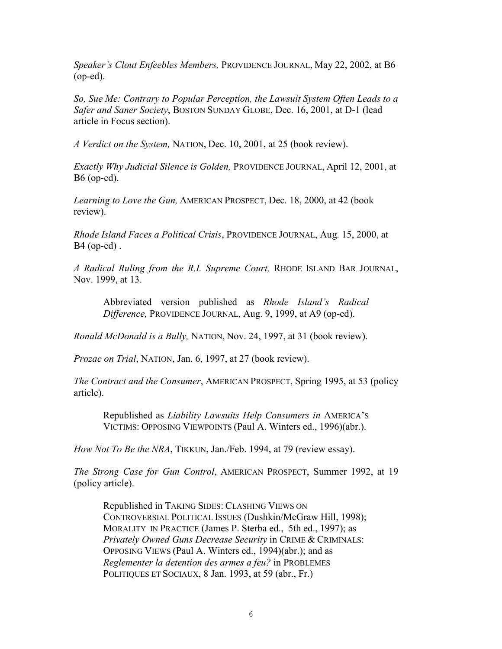*Speaker's Clout Enfeebles Members,* PROVIDENCE JOURNAL, May 22, 2002, at B6 (op-ed).

*So, Sue Me: Contrary to Popular Perception, the Lawsuit System Often Leads to a Safer and Saner Society*, BOSTON SUNDAY GLOBE, Dec. 16, 2001, at D-1 (lead article in Focus section).

*A Verdict on the System,* NATION, Dec. 10, 2001, at 25 (book review).

*Exactly Why Judicial Silence is Golden,* PROVIDENCE JOURNAL, April 12, 2001, at B6 (op-ed).

*Learning to Love the Gun,* AMERICAN PROSPECT, Dec. 18, 2000, at 42 (book review).

*Rhode Island Faces a Political Crisis*, PROVIDENCE JOURNAL, Aug. 15, 2000, at B4 (op-ed) .

*A Radical Ruling from the R.I. Supreme Court,* RHODE ISLAND BAR JOURNAL, Nov. 1999, at 13.

Abbreviated version published as *Rhode Island's Radical Difference,* PROVIDENCE JOURNAL, Aug. 9, 1999, at A9 (op-ed).

*Ronald McDonald is a Bully,* NATION, Nov. 24, 1997, at 31 (book review).

*Prozac on Trial*, NATION, Jan. 6, 1997, at 27 (book review).

*The Contract and the Consumer*, AMERICAN PROSPECT, Spring 1995, at 53 (policy article).

Republished as *Liability Lawsuits Help Consumers in* AMERICA'S VICTIMS: OPPOSING VIEWPOINTS (Paul A. Winters ed., 1996)(abr.).

*How Not To Be the NRA*, TIKKUN, Jan./Feb. 1994, at 79 (review essay).

*The Strong Case for Gun Control*, AMERICAN PROSPECT, Summer 1992, at 19 (policy article).

Republished in TAKING SIDES: CLASHING VIEWS ON CONTROVERSIAL POLITICAL ISSUES (Dushkin/McGraw Hill, 1998); MORALITY IN PRACTICE (James P. Sterba ed., 5th ed., 1997); as *Privately Owned Guns Decrease Security* in CRIME & CRIMINALS: OPPOSING VIEWS (Paul A. Winters ed., 1994)(abr.); and as *Reglementer la detention des armes a feu?* in PROBLEMES POLITIQUES ET SOCIAUX, 8 Jan. 1993, at 59 (abr., Fr.)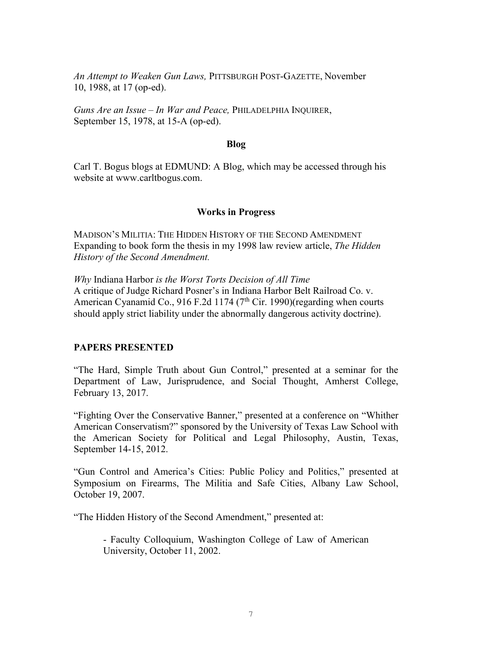*An Attempt to Weaken Gun Laws,* PITTSBURGH POST-GAZETTE, November 10, 1988, at 17 (op-ed).

*Guns Are an Issue – In War and Peace,* PHILADELPHIA INQUIRER, September 15, 1978, at 15-A (op-ed).

#### **Blog**

Carl T. Bogus blogs at EDMUND: A Blog, which may be accessed through his website at [www.carltbogus.com.](http://www.carltbogus.com/)

#### **Works in Progress**

MADISON'S MILITIA: THE HIDDEN HISTORY OF THE SECOND AMENDMENT Expanding to book form the thesis in my 1998 law review article, *The Hidden History of the Second Amendment.*

*Why* Indiana Harbor *is the Worst Torts Decision of All Time* A critique of Judge Richard Posner's in Indiana Harbor Belt Railroad Co. v. American Cyanamid Co., 916 F.2d 1174 ( $7<sup>th</sup>$  Cir. 1990)(regarding when courts should apply strict liability under the abnormally dangerous activity doctrine).

#### **PAPERS PRESENTED**

"The Hard, Simple Truth about Gun Control," presented at a seminar for the Department of Law, Jurisprudence, and Social Thought, Amherst College, February 13, 2017.

"Fighting Over the Conservative Banner," presented at a conference on "Whither American Conservatism?" sponsored by the University of Texas Law School with the American Society for Political and Legal Philosophy, Austin, Texas, September 14-15, 2012.

"Gun Control and America's Cities: Public Policy and Politics," presented at Symposium on Firearms, The Militia and Safe Cities, Albany Law School, October 19, 2007.

"The Hidden History of the Second Amendment," presented at:

- Faculty Colloquium, Washington College of Law of American University, October 11, 2002.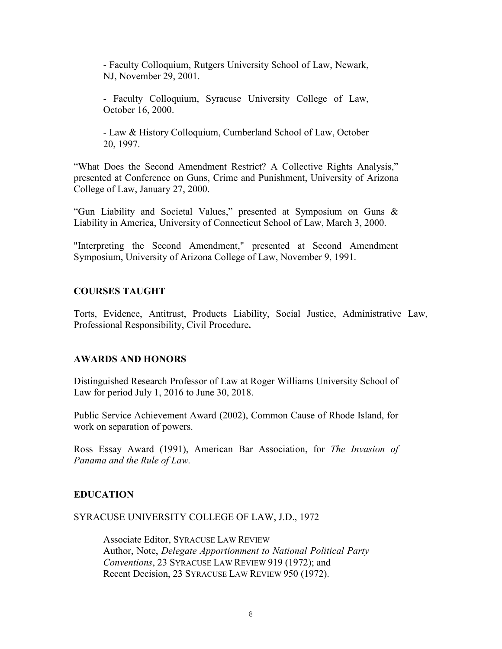- Faculty Colloquium, Rutgers University School of Law, Newark, NJ, November 29, 2001.

- Faculty Colloquium, Syracuse University College of Law, October 16, 2000.

- Law & History Colloquium, Cumberland School of Law, October 20, 1997.

"What Does the Second Amendment Restrict? A Collective Rights Analysis," presented at Conference on Guns, Crime and Punishment, University of Arizona College of Law, January 27, 2000.

"Gun Liability and Societal Values," presented at Symposium on Guns & Liability in America, University of Connecticut School of Law, March 3, 2000.

"Interpreting the Second Amendment," presented at Second Amendment Symposium, University of Arizona College of Law, November 9, 1991.

## **COURSES TAUGHT**

Torts, Evidence, Antitrust, Products Liability, Social Justice, Administrative Law, Professional Responsibility, Civil Procedure**.**

## **AWARDS AND HONORS**

Distinguished Research Professor of Law at Roger Williams University School of Law for period July 1, 2016 to June 30, 2018.

Public Service Achievement Award (2002), Common Cause of Rhode Island, for work on separation of powers.

Ross Essay Award (1991), American Bar Association, for *The Invasion of Panama and the Rule of Law.*

## **EDUCATION**

#### SYRACUSE UNIVERSITY COLLEGE OF LAW, J.D., 1972

Associate Editor, SYRACUSE LAW REVIEW Author, Note, *Delegate Apportionment to National Political Party Conventions*, 23 SYRACUSE LAW REVIEW 919 (1972); and Recent Decision, 23 SYRACUSE LAW REVIEW 950 (1972).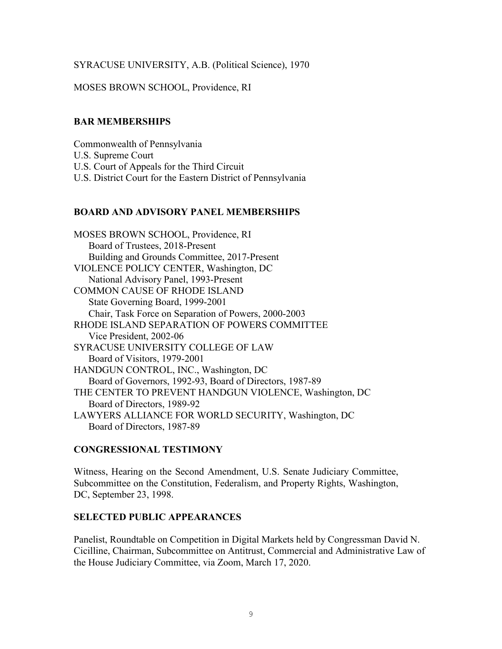## SYRACUSE UNIVERSITY, A.B. (Political Science), 1970

## MOSES BROWN SCHOOL, Providence, RI

## **BAR MEMBERSHIPS**

Commonwealth of Pennsylvania U.S. Supreme Court U.S. Court of Appeals for the Third Circuit U.S. District Court for the Eastern District of Pennsylvania

## **BOARD AND ADVISORY PANEL MEMBERSHIPS**

MOSES BROWN SCHOOL, Providence, RI Board of Trustees, 2018-Present Building and Grounds Committee, 2017-Present VIOLENCE POLICY CENTER, Washington, DC National Advisory Panel, 1993-Present COMMON CAUSE OF RHODE ISLAND State Governing Board, 1999-2001 Chair, Task Force on Separation of Powers, 2000-2003 RHODE ISLAND SEPARATION OF POWERS COMMITTEE Vice President, 2002-06 SYRACUSE UNIVERSITY COLLEGE OF LAW Board of Visitors, 1979-2001 HANDGUN CONTROL, INC., Washington, DC Board of Governors, 1992-93, Board of Directors, 1987-89 THE CENTER TO PREVENT HANDGUN VIOLENCE, Washington, DC Board of Directors, 1989-92 LAWYERS ALLIANCE FOR WORLD SECURITY, Washington, DC Board of Directors, 1987-89

## **CONGRESSIONAL TESTIMONY**

Witness, Hearing on the Second Amendment, U.S. Senate Judiciary Committee, Subcommittee on the Constitution, Federalism, and Property Rights, Washington, DC, September 23, 1998.

## **SELECTED PUBLIC APPEARANCES**

Panelist, Roundtable on Competition in Digital Markets held by Congressman David N. Cicilline, Chairman, Subcommittee on Antitrust, Commercial and Administrative Law of the House Judiciary Committee, via Zoom, March 17, 2020.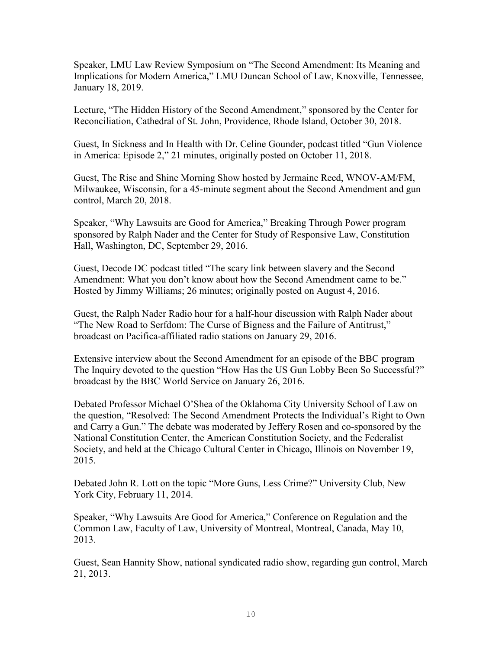Speaker, LMU Law Review Symposium on "The Second Amendment: Its Meaning and Implications for Modern America," LMU Duncan School of Law, Knoxville, Tennessee, January 18, 2019.

Lecture, "The Hidden History of the Second Amendment," sponsored by the Center for Reconciliation, Cathedral of St. John, Providence, Rhode Island, October 30, 2018.

Guest, In Sickness and In Health with Dr. Celine Gounder, podcast titled "Gun Violence in America: Episode 2," 21 minutes, originally posted on October 11, 2018.

Guest, The Rise and Shine Morning Show hosted by Jermaine Reed, WNOV-AM/FM, Milwaukee, Wisconsin, for a 45-minute segment about the Second Amendment and gun control, March 20, 2018.

Speaker, "Why Lawsuits are Good for America," Breaking Through Power program sponsored by Ralph Nader and the Center for Study of Responsive Law, Constitution Hall, Washington, DC, September 29, 2016.

Guest, Decode DC podcast titled "The scary link between slavery and the Second Amendment: What you don't know about how the Second Amendment came to be." Hosted by Jimmy Williams; 26 minutes; originally posted on August 4, 2016.

Guest, the Ralph Nader Radio hour for a half-hour discussion with Ralph Nader about "The New Road to Serfdom: The Curse of Bigness and the Failure of Antitrust," broadcast on Pacifica-affiliated radio stations on January 29, 2016.

Extensive interview about the Second Amendment for an episode of the BBC program The Inquiry devoted to the question "How Has the US Gun Lobby Been So Successful?" broadcast by the BBC World Service on January 26, 2016.

Debated Professor Michael O'Shea of the Oklahoma City University School of Law on the question, "Resolved: The Second Amendment Protects the Individual's Right to Own and Carry a Gun." The debate was moderated by Jeffery Rosen and co-sponsored by the National Constitution Center, the American Constitution Society, and the Federalist Society, and held at the Chicago Cultural Center in Chicago, Illinois on November 19, 2015.

Debated John R. Lott on the topic "More Guns, Less Crime?" University Club, New York City, February 11, 2014.

Speaker, "Why Lawsuits Are Good for America," Conference on Regulation and the Common Law, Faculty of Law, University of Montreal, Montreal, Canada, May 10, 2013.

Guest, Sean Hannity Show, national syndicated radio show, regarding gun control, March 21, 2013.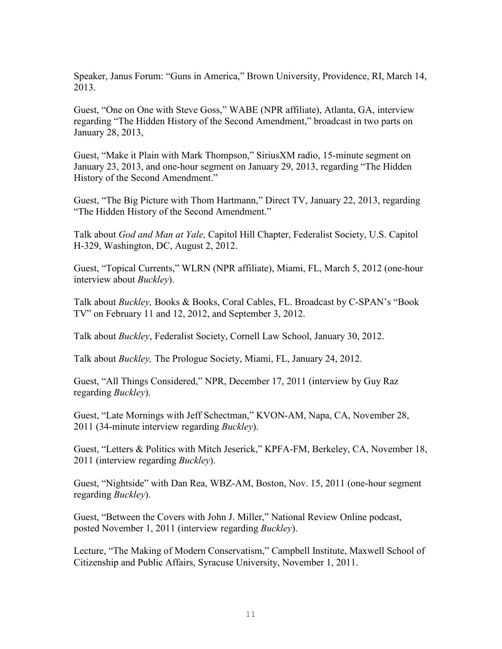Speaker, Janus Forum: "Guns in America," Brown University, Providence, RI, March 14, 2013.

Guest, "One on One with Steve Goss," WABE (NPR affiliate), Atlanta, GA, interview regarding "The Hidden History of the Second Amendment," broadcast in two parts on January 28, 2013,

Guest, "Make it Plain with Mark Thompson," SiriusXM radio, 15-minute segment on January 23, 2013, and one-hour segment on January 29, 2013, regarding "The Hidden History of the Second Amendment."

Guest, "The Big Picture with Thom Hartmann," Direct TV, January 22, 2013, regarding "The Hidden History of the Second Amendment."

Talk about *God and Man at Yale,* Capitol Hill Chapter, Federalist Society, U.S. Capitol H-329, Washington, DC, August 2, 2012.

Guest, "Topical Currents," WLRN (NPR affiliate), Miami, FL, March 5, 2012 (one-hour interview about *Buckley*).

Talk about *Buckley,* Books & Books, Coral Cables, FL. Broadcast by C-SPAN's "Book TV" on February 11 and 12, 2012, and September 3, 2012.

Talk about *Buckley*, Federalist Society, Cornell Law School, January 30, 2012.

Talk about *Buckley,* The Prologue Society, Miami, FL, January 24, 2012.

Guest, "All Things Considered," NPR, December 17, 2011 (interview by Guy Raz regarding *Buckley*).

Guest, "Late Mornings with Jeff Schectman," KVON-AM, Napa, CA, November 28, 2011 (34-minute interview regarding *Buckley*).

Guest, "Letters & Politics with Mitch Jeserick," KPFA-FM, Berkeley, CA, November 18, 2011 (interview regarding *Buckley*).

Guest, "Nightside" with Dan Rea, WBZ-AM, Boston, Nov. 15, 2011 (one-hour segment regarding *Buckley*).

Guest, "Between the Covers with John J. Miller," National Review Online podcast, posted November 1, 2011 (interview regarding *Buckley*).

Lecture, "The Making of Modern Conservatism," Campbell Institute, Maxwell School of Citizenship and Public Affairs, Syracuse University, November 1, 2011.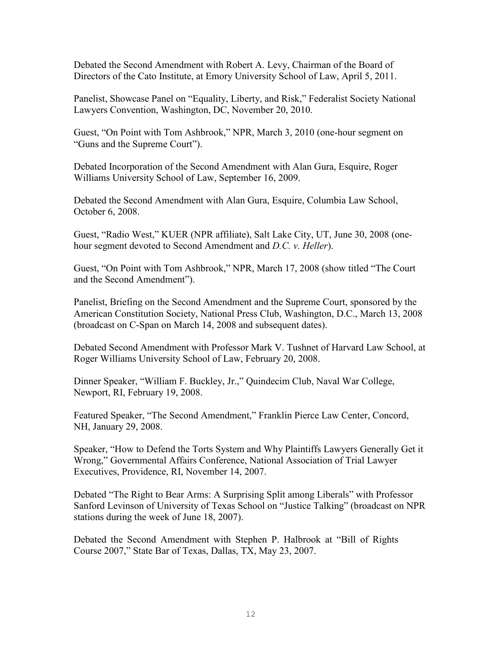Debated the Second Amendment with Robert A. Levy, Chairman of the Board of Directors of the Cato Institute, at Emory University School of Law, April 5, 2011.

Panelist, Showcase Panel on "Equality, Liberty, and Risk," Federalist Society National Lawyers Convention, Washington, DC, November 20, 2010.

Guest, "On Point with Tom Ashbrook," NPR, March 3, 2010 (one-hour segment on "Guns and the Supreme Court").

Debated Incorporation of the Second Amendment with Alan Gura, Esquire, Roger Williams University School of Law, September 16, 2009.

Debated the Second Amendment with Alan Gura, Esquire, Columbia Law School, October 6, 2008.

Guest, "Radio West," KUER (NPR affiliate), Salt Lake City, UT, June 30, 2008 (onehour segment devoted to Second Amendment and *D.C. v. Heller*).

Guest, "On Point with Tom Ashbrook," NPR, March 17, 2008 (show titled "The Court and the Second Amendment").

Panelist, Briefing on the Second Amendment and the Supreme Court, sponsored by the American Constitution Society, National Press Club, Washington, D.C., March 13, 2008 (broadcast on C-Span on March 14, 2008 and subsequent dates).

Debated Second Amendment with Professor Mark V. Tushnet of Harvard Law School, at Roger Williams University School of Law, February 20, 2008.

Dinner Speaker, "William F. Buckley, Jr.," Quindecim Club, Naval War College, Newport, RI, February 19, 2008.

Featured Speaker, "The Second Amendment," Franklin Pierce Law Center, Concord, NH, January 29, 2008.

Speaker, "How to Defend the Torts System and Why Plaintiffs Lawyers Generally Get it Wrong," Governmental Affairs Conference, National Association of Trial Lawyer Executives, Providence, RI, November 14, 2007.

Debated "The Right to Bear Arms: A Surprising Split among Liberals" with Professor Sanford Levinson of University of Texas School on "Justice Talking" (broadcast on NPR stations during the week of June 18, 2007).

Debated the Second Amendment with Stephen P. Halbrook at "Bill of Rights Course 2007," State Bar of Texas, Dallas, TX, May 23, 2007.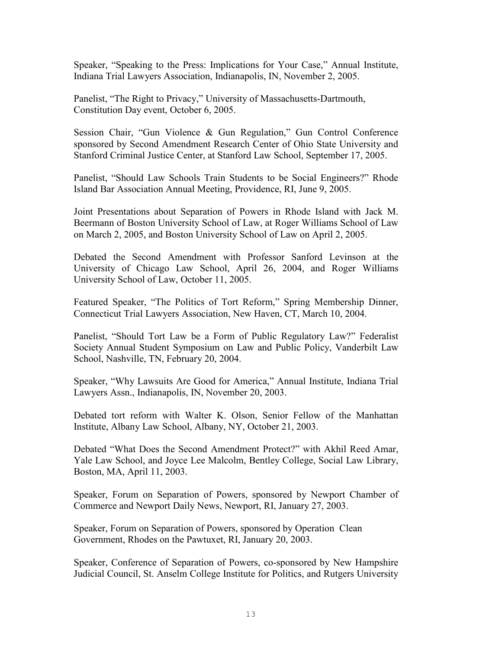Speaker, "Speaking to the Press: Implications for Your Case," Annual Institute, Indiana Trial Lawyers Association, Indianapolis, IN, November 2, 2005.

Panelist, "The Right to Privacy," University of Massachusetts-Dartmouth, Constitution Day event, October 6, 2005.

Session Chair, "Gun Violence & Gun Regulation," Gun Control Conference sponsored by Second Amendment Research Center of Ohio State University and Stanford Criminal Justice Center, at Stanford Law School, September 17, 2005.

Panelist, "Should Law Schools Train Students to be Social Engineers?" Rhode Island Bar Association Annual Meeting, Providence, RI, June 9, 2005.

Joint Presentations about Separation of Powers in Rhode Island with Jack M. Beermann of Boston University School of Law, at Roger Williams School of Law on March 2, 2005, and Boston University School of Law on April 2, 2005.

Debated the Second Amendment with Professor Sanford Levinson at the University of Chicago Law School, April 26, 2004, and Roger Williams University School of Law, October 11, 2005.

Featured Speaker, "The Politics of Tort Reform," Spring Membership Dinner, Connecticut Trial Lawyers Association, New Haven, CT, March 10, 2004.

Panelist, "Should Tort Law be a Form of Public Regulatory Law?" Federalist Society Annual Student Symposium on Law and Public Policy, Vanderbilt Law School, Nashville, TN, February 20, 2004.

Speaker, "Why Lawsuits Are Good for America," Annual Institute, Indiana Trial Lawyers Assn., Indianapolis, IN, November 20, 2003.

Debated tort reform with Walter K. Olson, Senior Fellow of the Manhattan Institute, Albany Law School, Albany, NY, October 21, 2003.

Debated "What Does the Second Amendment Protect?" with Akhil Reed Amar, Yale Law School, and Joyce Lee Malcolm, Bentley College, Social Law Library, Boston, MA, April 11, 2003.

Speaker, Forum on Separation of Powers, sponsored by Newport Chamber of Commerce and Newport Daily News, Newport, RI, January 27, 2003.

Speaker, Forum on Separation of Powers, sponsored by Operation Clean Government, Rhodes on the Pawtuxet, RI, January 20, 2003.

Speaker, Conference of Separation of Powers, co-sponsored by New Hampshire Judicial Council, St. Anselm College Institute for Politics, and Rutgers University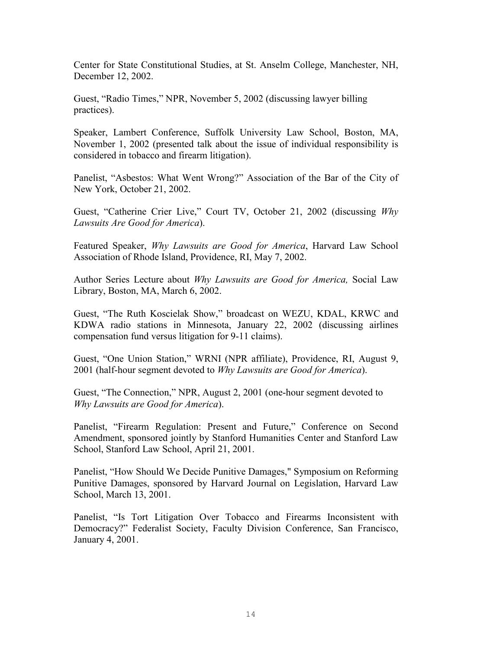Center for State Constitutional Studies, at St. Anselm College, Manchester, NH, December 12, 2002.

Guest, "Radio Times," NPR, November 5, 2002 (discussing lawyer billing practices).

Speaker, Lambert Conference, Suffolk University Law School, Boston, MA, November 1, 2002 (presented talk about the issue of individual responsibility is considered in tobacco and firearm litigation).

Panelist, "Asbestos: What Went Wrong?" Association of the Bar of the City of New York, October 21, 2002.

Guest, "Catherine Crier Live," Court TV, October 21, 2002 (discussing *Why Lawsuits Are Good for America*).

Featured Speaker, *Why Lawsuits are Good for America*, Harvard Law School Association of Rhode Island, Providence, RI, May 7, 2002.

Author Series Lecture about *Why Lawsuits are Good for America,* Social Law Library, Boston, MA, March 6, 2002.

Guest, "The Ruth Koscielak Show," broadcast on WEZU, KDAL, KRWC and KDWA radio stations in Minnesota, January 22, 2002 (discussing airlines compensation fund versus litigation for 9-11 claims).

Guest, "One Union Station," WRNI (NPR affiliate), Providence, RI, August 9, 2001 (half-hour segment devoted to *Why Lawsuits are Good for America*).

Guest, "The Connection," NPR, August 2, 2001 (one-hour segment devoted to *Why Lawsuits are Good for America*).

Panelist, "Firearm Regulation: Present and Future," Conference on Second Amendment, sponsored jointly by Stanford Humanities Center and Stanford Law School, Stanford Law School, April 21, 2001.

Panelist, "How Should We Decide Punitive Damages," Symposium on Reforming Punitive Damages, sponsored by Harvard Journal on Legislation, Harvard Law School, March 13, 2001.

Panelist, "Is Tort Litigation Over Tobacco and Firearms Inconsistent with Democracy?" Federalist Society, Faculty Division Conference, San Francisco, January 4, 2001.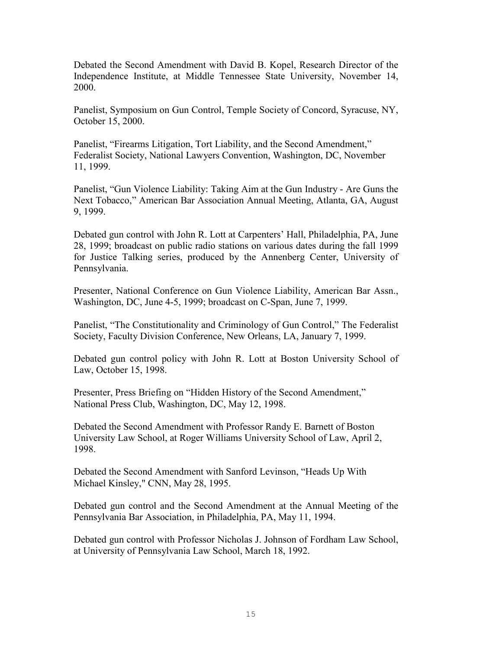Debated the Second Amendment with David B. Kopel, Research Director of the Independence Institute, at Middle Tennessee State University, November 14, 2000.

Panelist, Symposium on Gun Control, Temple Society of Concord, Syracuse, NY, October 15, 2000.

Panelist, "Firearms Litigation, Tort Liability, and the Second Amendment," Federalist Society, National Lawyers Convention, Washington, DC, November 11, 1999.

Panelist, "Gun Violence Liability: Taking Aim at the Gun Industry - Are Guns the Next Tobacco," American Bar Association Annual Meeting, Atlanta, GA, August 9, 1999.

Debated gun control with John R. Lott at Carpenters' Hall, Philadelphia, PA, June 28, 1999; broadcast on public radio stations on various dates during the fall 1999 for Justice Talking series, produced by the Annenberg Center, University of Pennsylvania.

Presenter, National Conference on Gun Violence Liability, American Bar Assn., Washington, DC, June 4-5, 1999; broadcast on C-Span, June 7, 1999.

Panelist, "The Constitutionality and Criminology of Gun Control," The Federalist Society, Faculty Division Conference, New Orleans, LA, January 7, 1999.

Debated gun control policy with John R. Lott at Boston University School of Law, October 15, 1998.

Presenter, Press Briefing on "Hidden History of the Second Amendment," National Press Club, Washington, DC, May 12, 1998.

Debated the Second Amendment with Professor Randy E. Barnett of Boston University Law School, at Roger Williams University School of Law, April 2, 1998.

Debated the Second Amendment with Sanford Levinson, "Heads Up With Michael Kinsley," CNN, May 28, 1995.

Debated gun control and the Second Amendment at the Annual Meeting of the Pennsylvania Bar Association, in Philadelphia, PA, May 11, 1994.

Debated gun control with Professor Nicholas J. Johnson of Fordham Law School, at University of Pennsylvania Law School, March 18, 1992.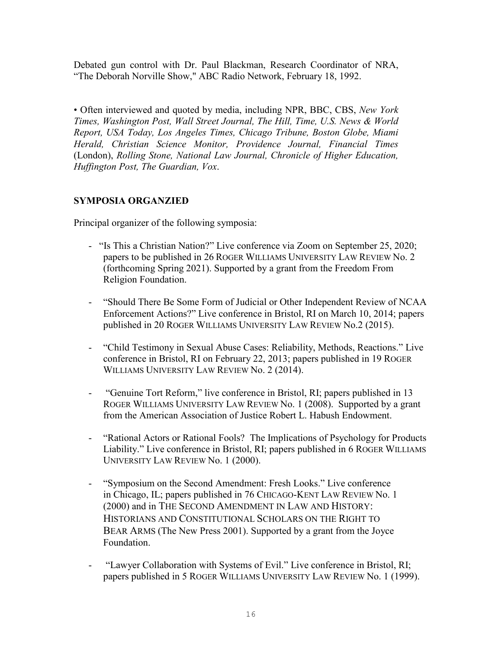Debated gun control with Dr. Paul Blackman, Research Coordinator of NRA, "The Deborah Norville Show," ABC Radio Network, February 18, 1992.

• Often interviewed and quoted by media, including NPR, BBC, CBS, *New York Times, Washington Post, Wall Street Journal, The Hill, Time, U.S. News & World Report, USA Today, Los Angeles Times, Chicago Tribune, Boston Globe, Miami Herald, Christian Science Monitor, Providence Journal, Financial Times*  (London), *Rolling Stone, National Law Journal, Chronicle of Higher Education, Huffington Post, The Guardian, Vox*.

## **SYMPOSIA ORGANZIED**

Principal organizer of the following symposia:

- "Is This a Christian Nation?" Live conference via Zoom on September 25, 2020; papers to be published in 26 ROGER WILLIAMS UNIVERSITY LAW REVIEW No. 2 (forthcoming Spring 2021). Supported by a grant from the Freedom From Religion Foundation.
- "Should There Be Some Form of Judicial or Other Independent Review of NCAA Enforcement Actions?" Live conference in Bristol, RI on March 10, 2014; papers published in 20 ROGER WILLIAMS UNIVERSITY LAW REVIEW No.2 (2015).
- "Child Testimony in Sexual Abuse Cases: Reliability, Methods, Reactions." Live conference in Bristol, RI on February 22, 2013; papers published in 19 ROGER WILLIAMS UNIVERSITY LAW REVIEW No. 2 (2014).
- "Genuine Tort Reform," live conference in Bristol, RI; papers published in 13 ROGER WILLIAMS UNIVERSITY LAW REVIEW No. 1 (2008). Supported by a grant from the American Association of Justice Robert L. Habush Endowment.
- "Rational Actors or Rational Fools? The Implications of Psychology for Products Liability." Live conference in Bristol, RI; papers published in 6 ROGER WILLIAMS UNIVERSITY LAW REVIEW No. 1 (2000).
- "Symposium on the Second Amendment: Fresh Looks." Live conference in Chicago, IL; papers published in 76 CHICAGO-KENT LAW REVIEW No. 1 (2000) and in THE SECOND AMENDMENT IN LAW AND HISTORY: HISTORIANS AND CONSTITUTIONAL SCHOLARS ON THE RIGHT TO BEAR ARMS (The New Press 2001). Supported by a grant from the Joyce Foundation.
- "Lawyer Collaboration with Systems of Evil." Live conference in Bristol, RI; papers published in 5 ROGER WILLIAMS UNIVERSITY LAW REVIEW No. 1 (1999).